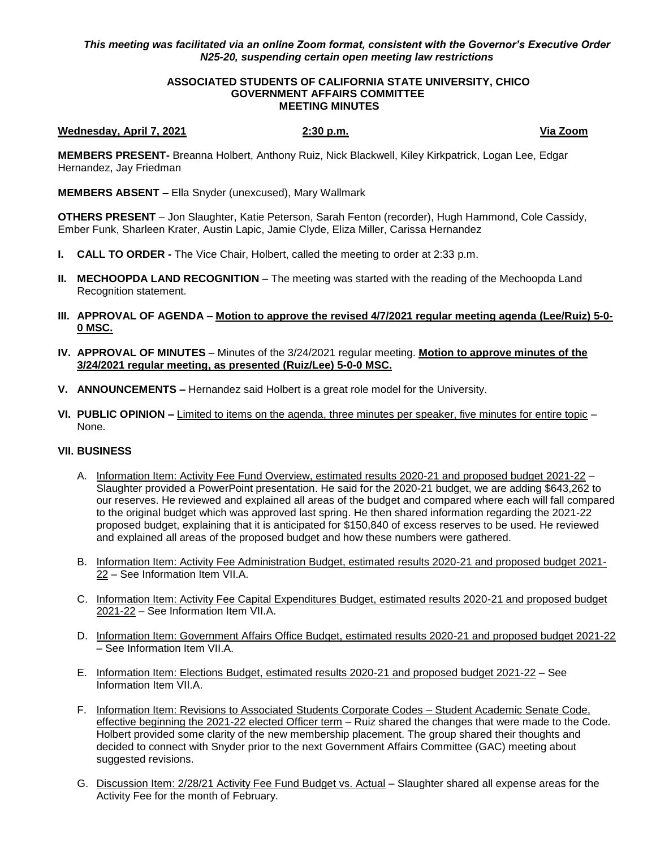## *This meeting was facilitated via an online Zoom format, consistent with the Governor's Executive Order N25-20, suspending certain open meeting law restrictions*

### **ASSOCIATED STUDENTS OF CALIFORNIA STATE UNIVERSITY, CHICO GOVERNMENT AFFAIRS COMMITTEE MEETING MINUTES**

### **Wednesday, April 7, 2021 2:30 p.m. Via Zoom**

**MEMBERS PRESENT-** Breanna Holbert, Anthony Ruiz, Nick Blackwell, Kiley Kirkpatrick, Logan Lee, Edgar Hernandez, Jay Friedman

**MEMBERS ABSENT –** Ella Snyder (unexcused), Mary Wallmark

**OTHERS PRESENT** – Jon Slaughter, Katie Peterson, Sarah Fenton (recorder), Hugh Hammond, Cole Cassidy, Ember Funk, Sharleen Krater, Austin Lapic, Jamie Clyde, Eliza Miller, Carissa Hernandez

- **I. CALL TO ORDER -** The Vice Chair, Holbert, called the meeting to order at 2:33 p.m.
- **II. MECHOOPDA LAND RECOGNITION** The meeting was started with the reading of the Mechoopda Land Recognition statement.
- **III. APPROVAL OF AGENDA – Motion to approve the revised 4/7/2021 regular meeting agenda (Lee/Ruiz) 5-0- 0 MSC.**
- **IV. APPROVAL OF MINUTES** Minutes of the 3/24/2021 regular meeting. **Motion to approve minutes of the 3/24/2021 regular meeting, as presented (Ruiz/Lee) 5-0-0 MSC.**
- **V. ANNOUNCEMENTS –** Hernandez said Holbert is a great role model for the University.
- **VI. PUBLIC OPINION –** Limited to items on the agenda, three minutes per speaker, five minutes for entire topic None.

# **VII. BUSINESS**

- A. Information Item: Activity Fee Fund Overview, estimated results 2020-21 and proposed budget 2021-22 Slaughter provided a PowerPoint presentation. He said for the 2020-21 budget, we are adding \$643,262 to our reserves. He reviewed and explained all areas of the budget and compared where each will fall compared to the original budget which was approved last spring. He then shared information regarding the 2021-22 proposed budget, explaining that it is anticipated for \$150,840 of excess reserves to be used. He reviewed and explained all areas of the proposed budget and how these numbers were gathered.
- B. Information Item: Activity Fee Administration Budget, estimated results 2020-21 and proposed budget 2021- 22 – See Information Item VII.A.
- C. Information Item: Activity Fee Capital Expenditures Budget, estimated results 2020-21 and proposed budget 2021-22 – See Information Item VII.A.
- D. Information Item: Government Affairs Office Budget, estimated results 2020-21 and proposed budget 2021-22 – See Information Item VII.A.
- E. Information Item: Elections Budget, estimated results 2020-21 and proposed budget 2021-22 See Information Item VII.A.
- F. Information Item: Revisions to Associated Students Corporate Codes Student Academic Senate Code, effective beginning the 2021-22 elected Officer term – Ruiz shared the changes that were made to the Code. Holbert provided some clarity of the new membership placement. The group shared their thoughts and decided to connect with Snyder prior to the next Government Affairs Committee (GAC) meeting about suggested revisions.
- G. Discussion Item: 2/28/21 Activity Fee Fund Budget vs. Actual Slaughter shared all expense areas for the Activity Fee for the month of February.